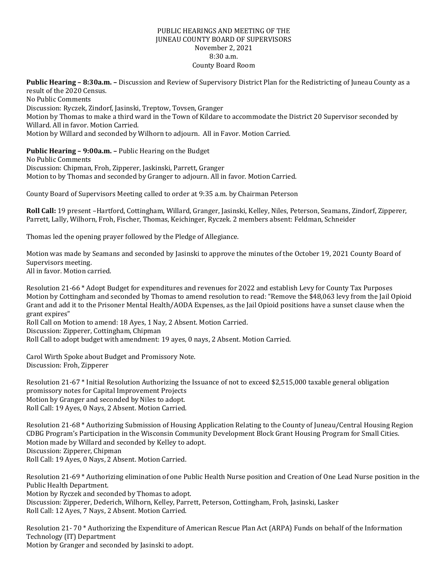## PUBLIC HEARINGS AND MEETING OF THE JUNEAU COUNTY BOARD OF SUPERVISORS November 2, 2021 8:30 a.m. County Board Room

**Public Hearing – 8:30a.m. –** Discussion and Review of Supervisory District Plan for the Redistricting of Juneau County as a result of the 2020 Census. No Public Comments Discussion: Ryczek, Zindorf, Jasinski, Treptow, Tovsen, Granger Motion by Thomas to make a third ward in the Town of Kildare to accommodate the District 20 Supervisor seconded by Willard. All in favor. Motion Carried. Motion by Willard and seconded by Wilhorn to adjourn. All in Favor. Motion Carried.

**Public Hearing – 9:00a.m. –** Public Hearing on the Budget

No Public Comments Discussion: Chipman, Froh, Zipperer, Jaskinski, Parrett, Granger Motion to by Thomas and seconded by Granger to adjourn. All in favor. Motion Carried.

County Board of Supervisors Meeting called to order at 9:35 a.m. by Chairman Peterson

**Roll Call:** 19 present –Hartford, Cottingham, Willard, Granger, Jasinski, Kelley, Niles, Peterson, Seamans, Zindorf, Zipperer, Parrett, Lally, Wilhorn, Froh, Fischer, Thomas, Keichinger, Ryczek. 2 members absent: Feldman, Schneider

Thomas led the opening prayer followed by the Pledge of Allegiance.

Motion was made by Seamans and seconded by Jasinski to approve the minutes of the October 19, 2021 County Board of Supervisors meeting. All in favor. Motion carried.

Resolution 21-66 \* Adopt Budget for expenditures and revenues for 2022 and establish Levy for County Tax Purposes Motion by Cottingham and seconded by Thomas to amend resolution to read: "Remove the \$48,063 levy from the Jail Opioid Grant and add it to the Prisoner Mental Health/AODA Expenses, as the Jail Opioid positions have a sunset clause when the grant expires"

Roll Call on Motion to amend: 18 Ayes, 1 Nay, 2 Absent. Motion Carried. Discussion: Zipperer, Cottingham, Chipman Roll Call to adopt budget with amendment: 19 ayes, 0 nays, 2 Absent. Motion Carried.

Carol Wirth Spoke about Budget and Promissory Note. Discussion: Froh, Zipperer

Resolution 21-67 \* Initial Resolution Authorizing the Issuance of not to exceed \$2,515,000 taxable general obligation promissory notes for Capital Improvement Projects Motion by Granger and seconded by Niles to adopt. Roll Call: 19 Ayes, 0 Nays, 2 Absent. Motion Carried.

Resolution 21-68 \* Authorizing Submission of Housing Application Relating to the County of Juneau/Central Housing Region CDBG Program's Participation in the Wisconsin Community Development Block Grant Housing Program for Small Cities. Motion made by Willard and seconded by Kelley to adopt. Discussion: Zipperer, Chipman Roll Call: 19 Ayes, 0 Nays, 2 Absent. Motion Carried.

Resolution 21-69 \* Authorizing elimination of one Public Health Nurse position and Creation of One Lead Nurse position in the Public Health Department. Motion by Ryczek and seconded by Thomas to adopt. Discussion: Zipperer, Dederich, Wilhorn, Kelley, Parrett, Peterson, Cottingham, Froh, Jasinski, Lasker Roll Call: 12 Ayes, 7 Nays, 2 Absent. Motion Carried.

Resolution 21- 70 \* Authorizing the Expenditure of American Rescue Plan Act (ARPA) Funds on behalf of the Information Technology (IT) Department Motion by Granger and seconded by Jasinski to adopt.